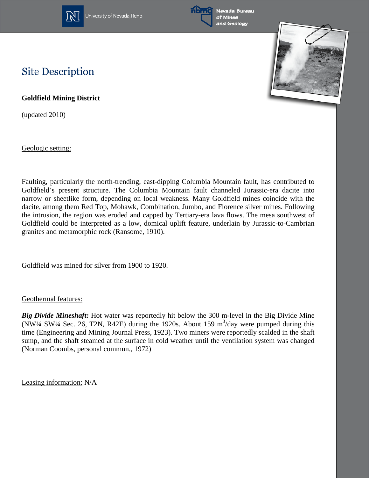

University of Nevada, Reno





## **Site Description**

**Goldfield Mining District**

(updated 2010)

Geologic setting:

Faulting, particularly the north-trending, east-dipping Columbia Mountain fault, has contributed to Goldfield's present structure. The Columbia Mountain fault channeled Jurassic-era dacite into narrow or sheetlike form, depending on local weakness. Many Goldfield mines coincide with the dacite, among them Red Top, Mohawk, Combination, Jumbo, and Florence silver mines. Following the intrusion, the region was eroded and capped by Tertiary-era lava flows. The mesa southwest of Goldfield could be interpreted as a low, domical uplift feature, underlain by Jurassic-to-Cambrian granites and metamorphic rock (Ransome, 1910).

Goldfield was mined for silver from 1900 to 1920.

## Geothermal features:

*Big Divide Mineshaft:* Hot water was reportedly hit below the 300 m-level in the Big Divide Mine (NW<sup>1</sup>/4 SW<sup>1</sup>/4 Sec. 26, T2N, R42E) during the 1920s. About 159 m<sup>3</sup>/day were pumped during this time (Engineering and Mining Journal Press, 1923). Two miners were reportedly scalded in the shaft sump, and the shaft steamed at the surface in cold weather until the ventilation system was changed (Norman Coombs, personal commun., 1972)

Leasing information: N/A